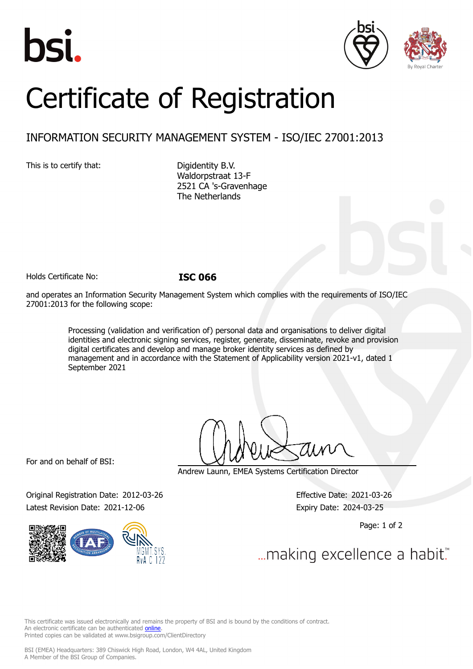





# Certificate of Registration

# INFORMATION SECURITY MANAGEMENT SYSTEM - ISO/IEC 27001:2013

This is to certify that: Digidentity B.V.

Waldorpstraat 13-F 2521 CA 's-Gravenhage The Netherlands

Holds Certificate No: **ISC 066**

and operates an Information Security Management System which complies with the requirements of ISO/IEC 27001:2013 for the following scope:

> Processing (validation and verification of) personal data and organisations to deliver digital identities and electronic signing services, register, generate, disseminate, revoke and provision digital certificates and develop and manage broker identity services as defined by management and in accordance with the Statement of Applicability version 2021-v1, dated 1 September 2021

For and on behalf of BSI:

Andrew Launn, EMEA Systems Certification Director

Original Registration Date: 2012-03-26 Effective Date: 2021-03-26 Latest Revision Date: 2021-12-06 Expiry Date: 2024-03-25



Page: 1 of 2

... making excellence a habit.

This certificate was issued electronically and remains the property of BSI and is bound by the conditions of contract. An electronic certificate can be authenticated **[online](https://pgplus.bsigroup.com/CertificateValidation/CertificateValidator.aspx?CertificateNumber=ISC+066&ReIssueDate=06%2f12%2f2021&Template=cemea_en)** Printed copies can be validated at www.bsigroup.com/ClientDirectory

BSI (EMEA) Headquarters: 389 Chiswick High Road, London, W4 4AL, United Kingdom A Member of the BSI Group of Companies.